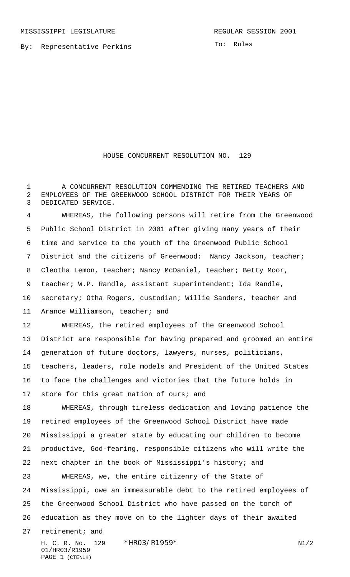By: Representative Perkins

To: Rules

## HOUSE CONCURRENT RESOLUTION NO. 129

 A CONCURRENT RESOLUTION COMMENDING THE RETIRED TEACHERS AND EMPLOYEES OF THE GREENWOOD SCHOOL DISTRICT FOR THEIR YEARS OF DEDICATED SERVICE.

 WHEREAS, the following persons will retire from the Greenwood Public School District in 2001 after giving many years of their time and service to the youth of the Greenwood Public School District and the citizens of Greenwood: Nancy Jackson, teacher; 8 Cleotha Lemon, teacher; Nancy McDaniel, teacher; Betty Moor, teacher; W.P. Randle, assistant superintendent; Ida Randle, secretary; Otha Rogers, custodian; Willie Sanders, teacher and Arance Williamson, teacher; and WHEREAS, the retired employees of the Greenwood School District are responsible for having prepared and groomed an entire

generation of future doctors, lawyers, nurses, politicians,

 teachers, leaders, role models and President of the United States to face the challenges and victories that the future holds in 17 store for this great nation of ours; and

 WHEREAS, through tireless dedication and loving patience the retired employees of the Greenwood School District have made Mississippi a greater state by educating our children to become productive, God-fearing, responsible citizens who will write the next chapter in the book of Mississippi's history; and WHEREAS, we, the entire citizenry of the State of

 Mississippi, owe an immeasurable debt to the retired employees of the Greenwood School District who have passed on the torch of education as they move on to the lighter days of their awaited

retirement; and

H. C. R. No. 129 \* HRO3/R1959\* N1/2 01/HR03/R1959 PAGE 1 (CTE\LH)